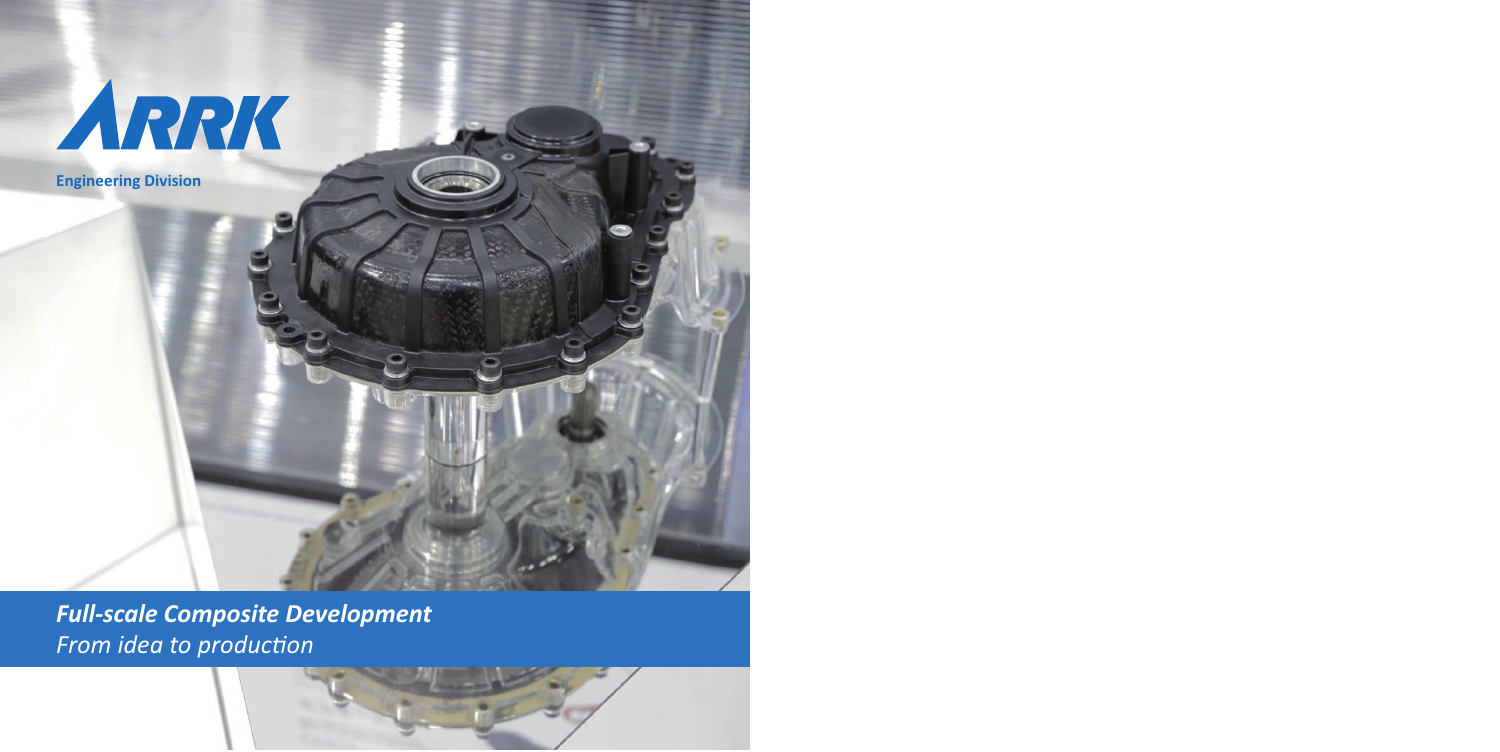

**Engineering Division**

*Full-scale Composite Development From idea to production*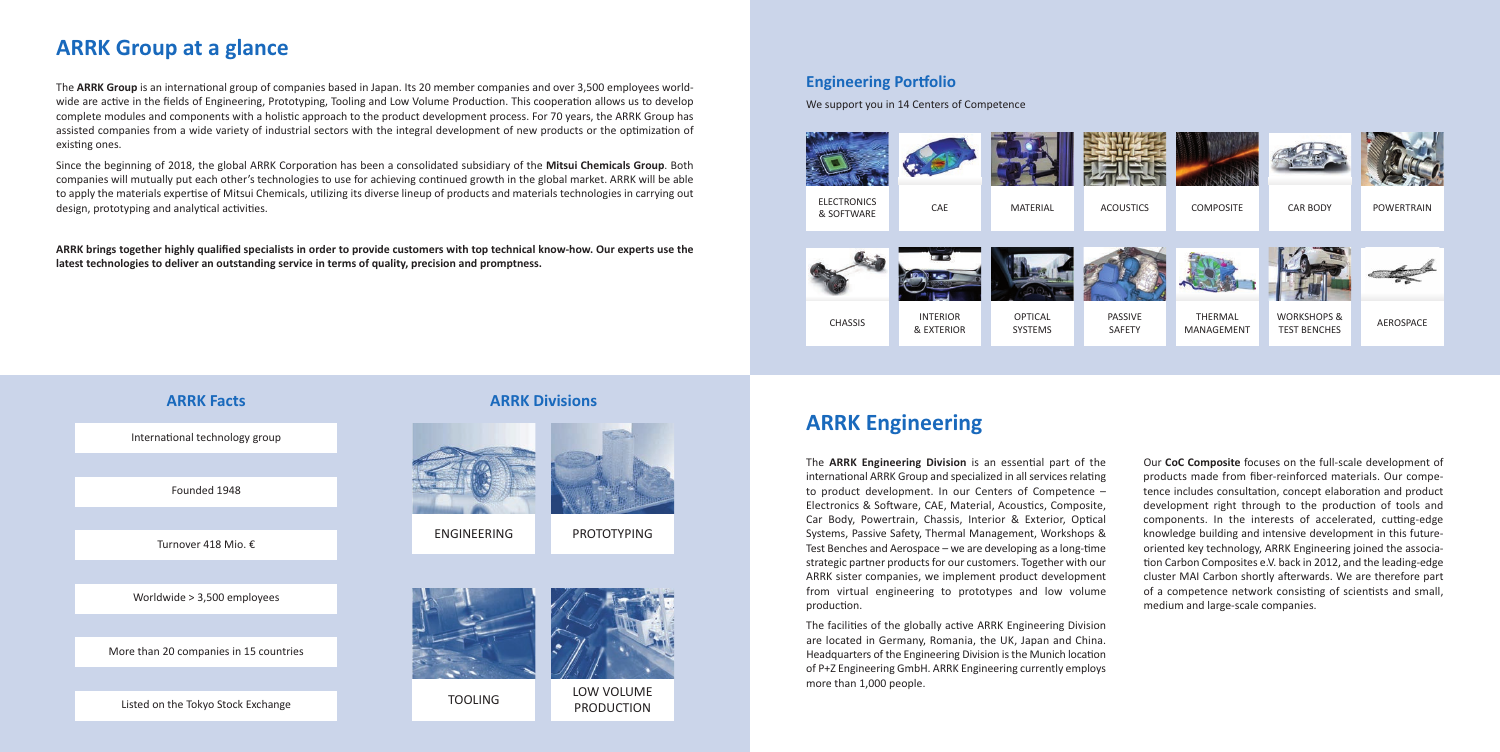International technology group

Founded 1948

Turnover 418 Mio. €

worldwide > 3,500 employees

More than 20 companies in 15 countries

Low VoLuME **PRODUCTION** 

Listed on the Tokyo Stock Exchange

## **ARRK Facts ARRK Divisions**



EnGInEERInG

**PROTOTYPING** 



TooLInG



## **ARRK Group at a glance**

The **ARRK Group** is an international group of companies based in Japan. Its 20 member companies and over 3,500 employees worldwide are active in the fields of Engineering, Prototyping, Tooling and Low Volume Production. This cooperation allows us to develop complete modules and components with a holistic approach to the product development process. For 70 years, the ARRK Group has assisted companies from a wide variety of industrial sectors with the integral development of new products or the optimization of existing ones.

Since the beginning of 2018, the global ARRK Corporation has been a consolidated subsidiary of the **Mitsui Chemicals Group**. Both companies will mutually put each other's technologies to use for achieving continued growth in the global market. ARRK will be able to apply the materials expertise of Mitsui Chemicals, utilizing its diverse lineup of products and materials technologies in carrying out design, prototyping and analytical activities.

> The facilities of the globally active ARRK Engineering Division are located in Germany, Romania, the uK, Japan and China. Headquarters of the Engineering Division is the Munich location of P+Z Engineering Gmbh. ARRK Engineering currently employs more than 1,000 people.

**ARRK brings together highly qualified specialists in order to provide customers with top technical know-how. Our experts use the latest technologies to deliver an outstanding service in terms of quality, precision and promptness.**

## **ARRK Engineering**

The **ARRK Engineering Division** is an essential part of the international ARRK Group and specialized in all services relating to product development. In our Centers of Competence – Electronics & Software, CAE, Material, Acoustics, Composite, Car Body, Powertrain, Chassis, Interior & Exterior, optical Systems, Passive Safety, Thermal Management, workshops & Test Benches and Aerospace – we are developing as a long-time strategic partner products for our customers. Together with our ARRK sister companies, we implement product development from virtual engineering to prototypes and low volume production.

our **CoC Composite** focuses on the full-scale development of products made from fiber-reinforced materials. our competence includes consultation, concept elaboration and product development right through to the production of tools and components. In the interests of accelerated, cutting-edge knowledge building and intensive development in this futureoriented key technology, ARRK Engineering joined the association Carbon Composites e.V. back in 2012, and the leading-edge cluster MAI Carbon shortly afterwards. we are therefore part of a competence network consisting of scientists and small, medium and large-scale companies.



## **Engineering Portfolio**

we support you in 14 Centers of Competence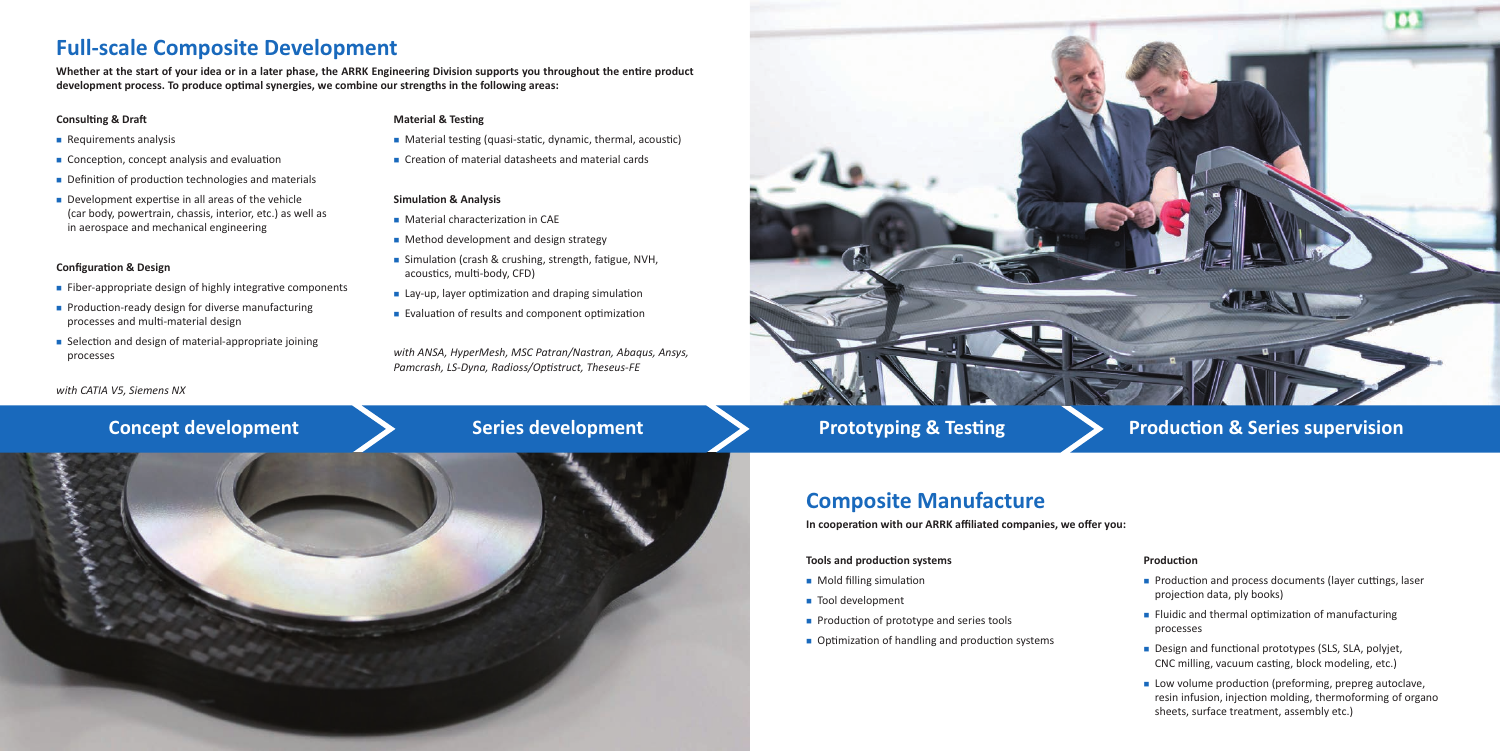## **Full-scale Composite Development**

**Whether at the start of your idea or in a later phase, the ARRK Engineering Division supports you throughout the entire product development process. To produce optimal synergies, we combine our strengths in the following areas:**

- $\blacksquare$  Requirements analysis
- Conception, concept analysis and evaluation
- $\blacksquare$  Definition of production technologies and materials
- $\blacksquare$  Development expertise in all areas of the vehicle (car body, powertrain, chassis, interior, etc.) as well as in aerospace and mechanical engineering

#### **Consulting & Draft**

- $\blacksquare$  Fiber-appropriate design of highly integrative components
- $\blacksquare$  Production-ready design for diverse manufacturing processes and multi-material design
- Selection and design of material-appropriate joining processes

### **Configuration & Design**

*with CATIA V5, Siemens NX*

## **Material & Testing**

- Material testing (quasi-static, dynamic, thermal, acoustic)
- $\blacksquare$  Creation of material datasheets and material cards

- Production and process documents (layer cuttings, laser projection data, ply books)
- $\blacksquare$  Fluidic and thermal optimization of manufacturing
- Design and functional prototypes (SLS, SLA, polyjet, CnC milling, vacuum casting, block modeling, etc.)

### **Simulation & Analysis**

- Material characterization in CAE
- $\blacksquare$  Method development and design strategy
- Simulation (crash & crushing, strength, fatigue, NVH, acoustics, multi-body, CFD)
- $\blacksquare$  Lay-up, layer optimization and draping simulation
- **Evaluation of results and component optimization**

**n** Low volume production (preforming, prepreg autoclave, resin infusion, injection molding, thermoforming of organo sheets, surface treatment, assembly etc.)



## **Concept development Series development Prototyping & Testing American & Series supervision**

*with ANSA, HyperMesh, MSC Patran/Nastran, Abaqus, Ansys, Pamcrash, LS-Dyna, Radioss/Optistruct, Theseus-FE*

![](_page_2_Picture_24.jpeg)

![](_page_2_Picture_25.jpeg)

## **Composite Manufacture**

**In cooperation with our ARRK affiliated companies, we offer you:**

### **Tools and production systems**

- **n** Mold filling simulation
- Tool development
- $\blacksquare$  Production of prototype and series tools
- $\blacksquare$  Optimization of handling and production systems

#### **Production**

# processes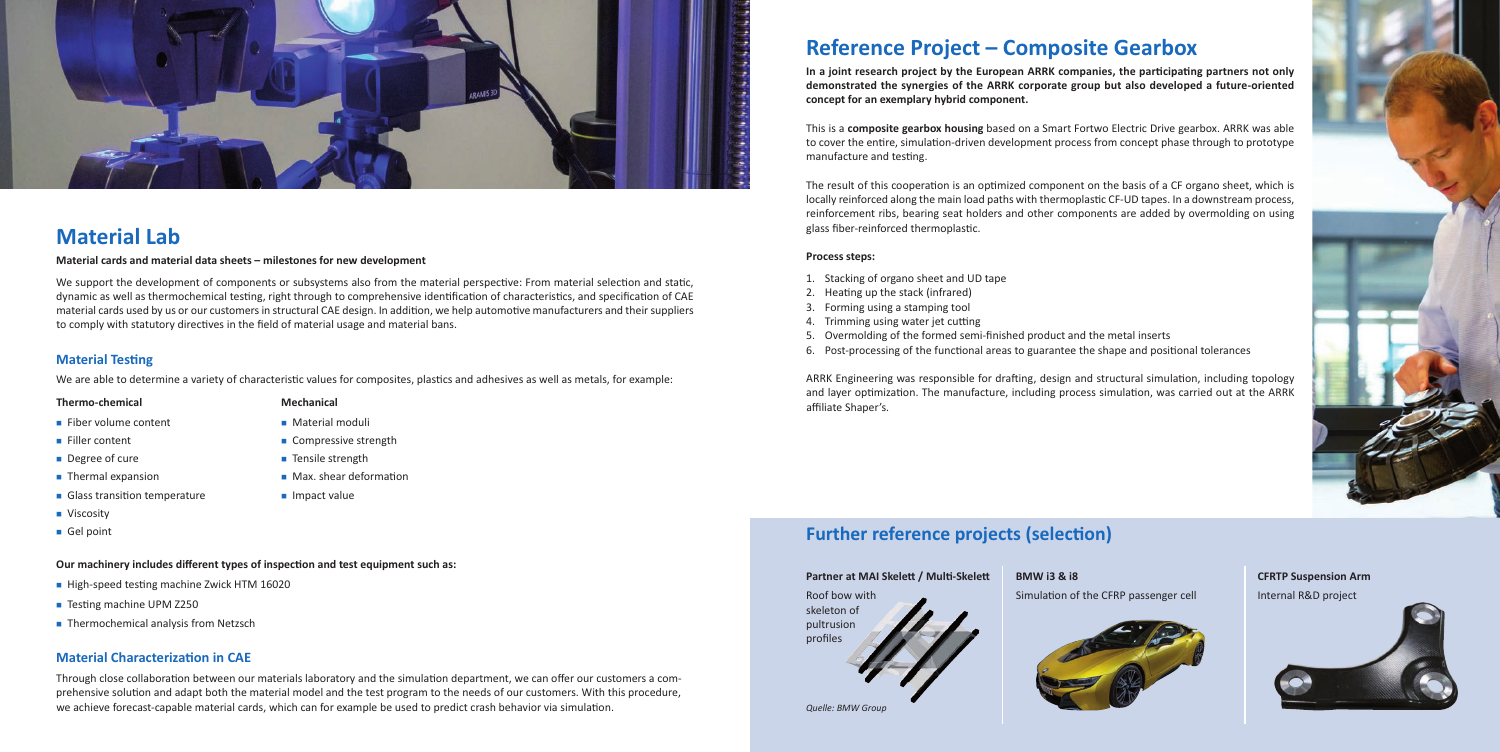## **Material Testing**

we are able to determine a variety of characteristic values for composites, plastics and adhesives as well as metals, for example:

 $\blacksquare$  Max. shear deformation

![](_page_3_Picture_0.jpeg)

## **Material Lab**

### **Material cards and material data sheets – milestones for new development**

we support the development of components or subsystems also from the material perspective: From material selection and static, dynamic as well as thermochemical testing, right through to comprehensive identification of characteristics, and specification of CAE material cards used by us or our customers in structural CAE design. In addition, we help automotive manufacturers and their suppliers to comply with statutory directives in the field of material usage and material bans.

> **Mechanical n** Material moduli  $\blacksquare$  Compressive strength ■ Tensile strength

 $\blacksquare$  Impact value

## **Material Characterization in CAE**

Through close collaboration between our materials laboratory and the simulation department, we can offer our customers a comprehensive solution and adapt both the material model and the test program to the needs of our customers. with this procedure, we achieve forecast-capable material cards, which can for example be used to predict crash behavior via simulation.

### **Thermo-chemical**

- $\blacksquare$  Fiber volume content
- Filler content
- $\blacksquare$  Degree of cure
- $\blacksquare$  Thermal expansion
- **n** Glass transition temperature
- **N** Viscosity
- Gel point
- 1. Stacking of organo sheet and UD tape
- 2. heating up the stack (infrared)
- 3. Forming using a stamping tool
- 4. Trimming using water jet cutting
- 5. overmolding of the formed semi-finished product and the metal inserts
- 6. Post-processing of the functional areas to guarantee the shape and positional tolerances

## **Reference Project – Composite Gearbox**

**In a joint research project by the European ARRK companies, the participating partners not only demonstrated the synergies of the ARRK corporate group but also developed a future-oriented concept for an exemplary hybrid component.** 

This is a **composite gearbox housing** based on a Smart Fortwo Electric drive gearbox. ARRK was able to cover the entire, simulation-driven development process from concept phase through to prototype manufacture and testing.

The result of this cooperation is an optimized component on the basis of a CF organo sheet, which is locally reinforced along the main load paths with thermoplastic CF-UD tapes. In a downstream process, reinforcement ribs, bearing seat holders and other components are added by overmolding on using glass fiber-reinforced thermoplastic.

## **Process steps:**

ARRK Engineering was responsible for drafting, design and structural simulation, including topology and layer optimization. The manufacture, including process simulation, was carried out at the ARRK affiliate Shaper's.

## **Further reference projects (selection)**

*Quelle: BMW Group*

## **Our machinery includes different types of inspection and test equipment such as:**

- High-speed testing machine Zwick HTM 16020
- Testing machine UPM Z250
- Thermochemical analysis from Netzsch

### **Partner at MAI Skelett / Multi-Skelett**

Roof bow with skeleton of pultrusion profiles

![](_page_3_Picture_38.jpeg)

![](_page_3_Picture_41.jpeg)

### **BMW i3 & i8**

Simulation of the CFRP passenger cell

![](_page_3_Picture_36.jpeg)

![](_page_3_Picture_42.jpeg)